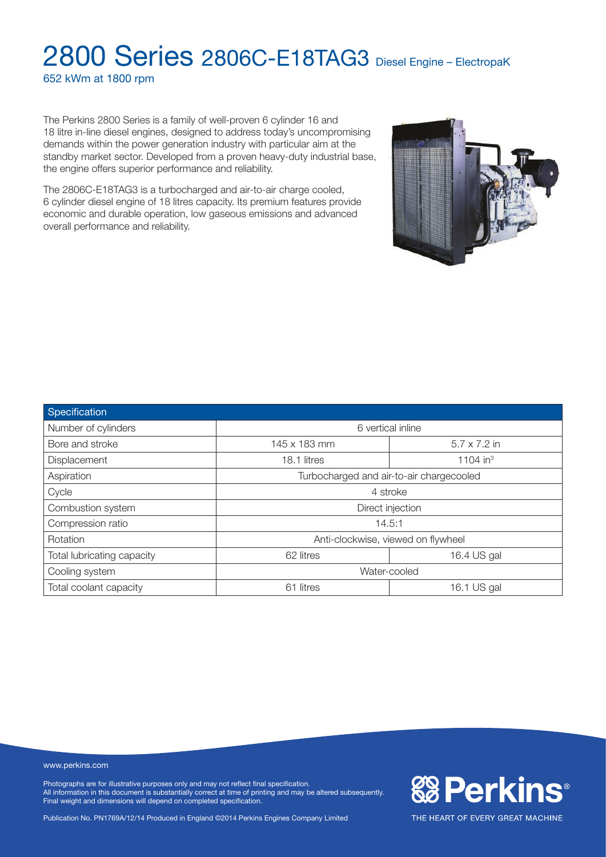652 kWm at 1800 rpm

The Perkins 2800 Series is a family of well-proven 6 cylinder 16 and 18 litre in-line diesel engines, designed to address today's uncompromising demands within the power generation industry with particular aim at the standby market sector. Developed from a proven heavy-duty industrial base, the engine offers superior performance and reliability.

The 2806C-E18TAG3 is a turbocharged and air-to-air charge cooled, 6 cylinder diesel engine of 18 litres capacity. Its premium features provide economic and durable operation, low gaseous emissions and advanced overall performance and reliability.



#### www.perkins.com

Photographs are for illustrative purposes only and may not reflect final specification. All information in this document is substantially correct at time of printing and may be altered subsequently. Final weight and dimensions will depend on completed specification.

Publication No. PN1769A/12/14 Produced in England ©2014 Perkins Engines Company Limited



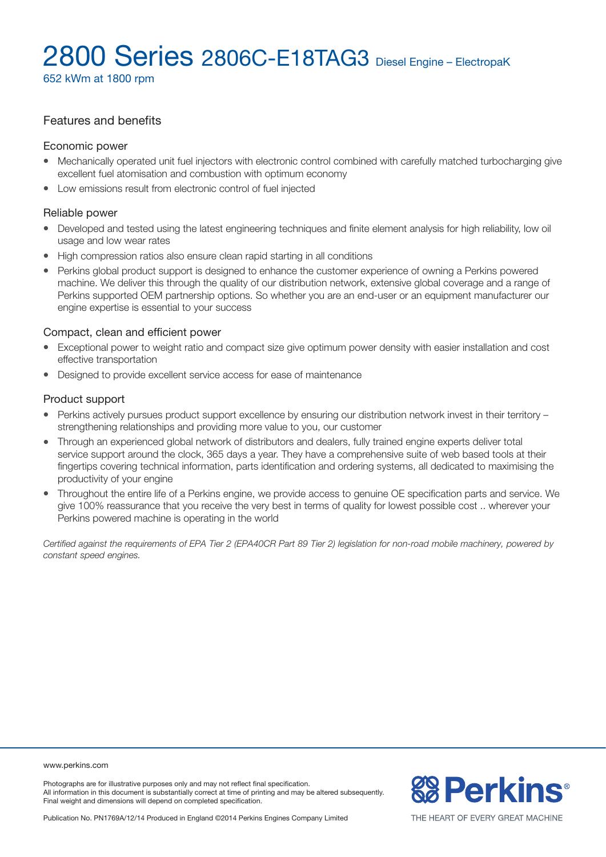652 kWm at 1800 rpm

# Features and benefits

### Economic power

- Mechanically operated unit fuel injectors with electronic control combined with carefully matched turbocharging give excellent fuel atomisation and combustion with optimum economy
- Low emissions result from electronic control of fuel injected

#### Reliable power

- Developed and tested using the latest engineering techniques and finite element analysis for high reliability, low oil usage and low wear rates
- High compression ratios also ensure clean rapid starting in all conditions
- <sup>l</sup> Perkins global product support is designed to enhance the customer experience of owning a Perkins powered machine. We deliver this through the quality of our distribution network, extensive global coverage and a range of Perkins supported OEM partnership options. So whether you are an end-user or an equipment manufacturer our engine expertise is essential to your success

### Compact, clean and efficient power

- Exceptional power to weight ratio and compact size give optimum power density with easier installation and cost effective transportation
- Designed to provide excellent service access for ease of maintenance

### Product support

- Perkins actively pursues product support excellence by ensuring our distribution network invest in their territory strengthening relationships and providing more value to you, our customer
- Through an experienced global network of distributors and dealers, fully trained engine experts deliver total service support around the clock, 365 days a year. They have a comprehensive suite of web based tools at their fingertips covering technical information, parts identification and ordering systems, all dedicated to maximising the productivity of your engine
- <sup>l</sup> Throughout the entire life of a Perkins engine, we provide access to genuine OE specification parts and service. We give 100% reassurance that you receive the very best in terms of quality for lowest possible cost .. wherever your Perkins powered machine is operating in the world

*Certified against the requirements of EPA Tier 2 (EPA40CR Part 89 Tier 2) legislation for non-road mobile machinery, powered by constant speed engines.*

www.perkins.com

Photographs are for illustrative purposes only and may not reflect final specification. All information in this document is substantially correct at time of printing and may be altered subsequently. Final weight and dimensions will depend on completed specification.

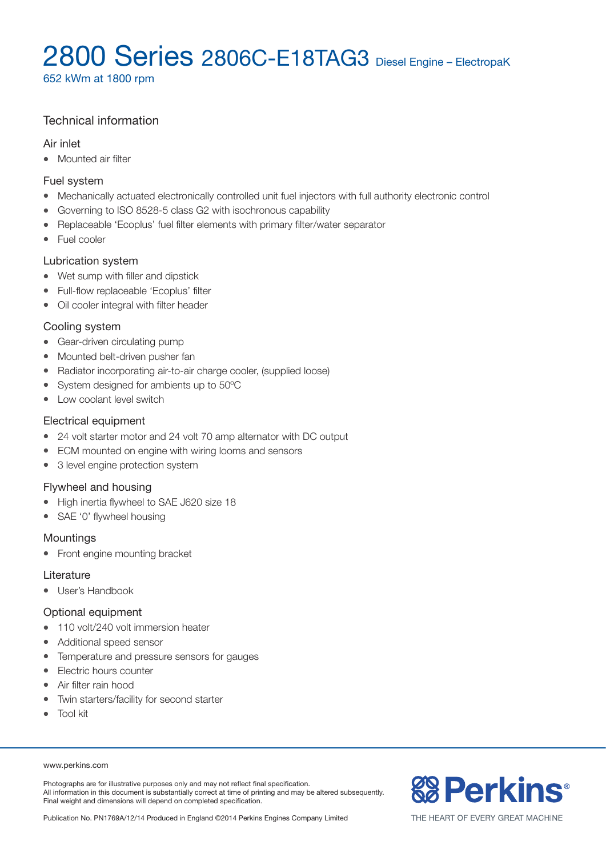652 kWm at 1800 rpm

# Technical information

## Air inlet

• Mounted air filter

## Fuel system

- Mechanically actuated electronically controlled unit fuel injectors with full authority electronic control
- Governing to ISO 8528-5 class G2 with isochronous capability
- Replaceable 'Ecoplus' fuel filter elements with primary filter/water separator
- Fuel cooler

# Lubrication system

- Wet sump with filler and dipstick
- Full-flow replaceable 'Ecoplus' filter
- Oil cooler integral with filter header

## Cooling system

- Gear-driven circulating pump
- Mounted belt-driven pusher fan
- Radiator incorporating air-to-air charge cooler, (supplied loose)
- System designed for ambients up to 50°C
- Low coolant level switch

# Electrical equipment

- 24 volt starter motor and 24 volt 70 amp alternator with DC output
- ECM mounted on engine with wiring looms and sensors
- 3 level engine protection system

# Flywheel and housing

- High inertia flywheel to SAE J620 size 18
- SAE '0' flywheel housing

### **Mountings**

• Front engine mounting bracket

### Literature

• User's Handbook

# Optional equipment

- 110 volt/240 volt immersion heater
- Additional speed sensor
- Temperature and pressure sensors for gauges
- Electric hours counter
- Air filter rain hood
- Twin starters/facility for second starter
- Tool kit

#### www.perkins.com

Photographs are for illustrative purposes only and may not reflect final specification. All information in this document is substantially correct at time of printing and may be altered subsequently. Final weight and dimensions will depend on completed specification.

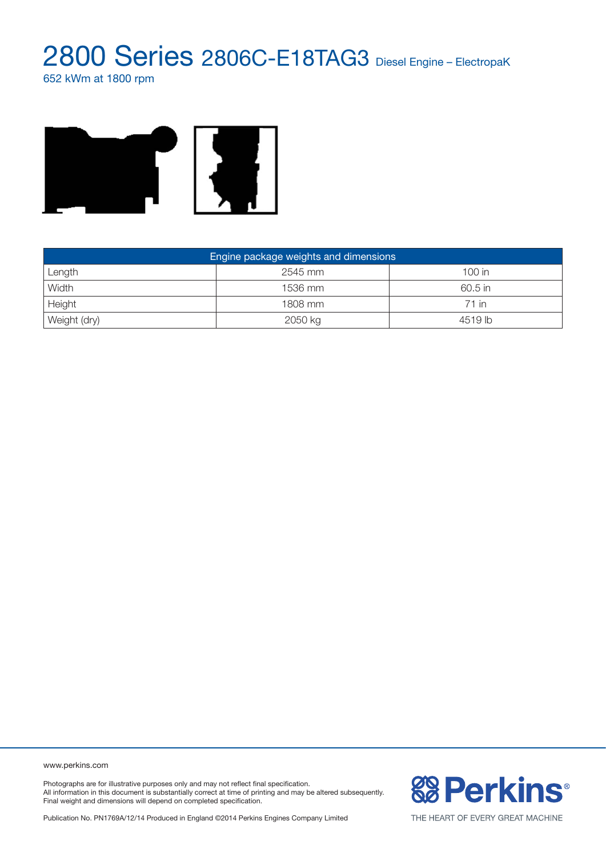652 kWm at 1800 rpm



| Engine package weights and dimensions |         |          |  |  |  |
|---------------------------------------|---------|----------|--|--|--|
| Length                                | 2545 mm | $100$ in |  |  |  |
| Width                                 | 1536 mm | 60.5 in  |  |  |  |
| Height                                | 1808 mm | 71 in    |  |  |  |
| Weight (dry)                          | 2050 kg | 4519 lb  |  |  |  |

www.perkins.com

Photographs are for illustrative purposes only and may not reflect final specification. All information in this document is substantially correct at time of printing and may be altered subsequently. Final weight and dimensions will depend on completed specification.

Publication No. PN1769A/12/14 Produced in England ©2014 Perkins Engines Company Limited